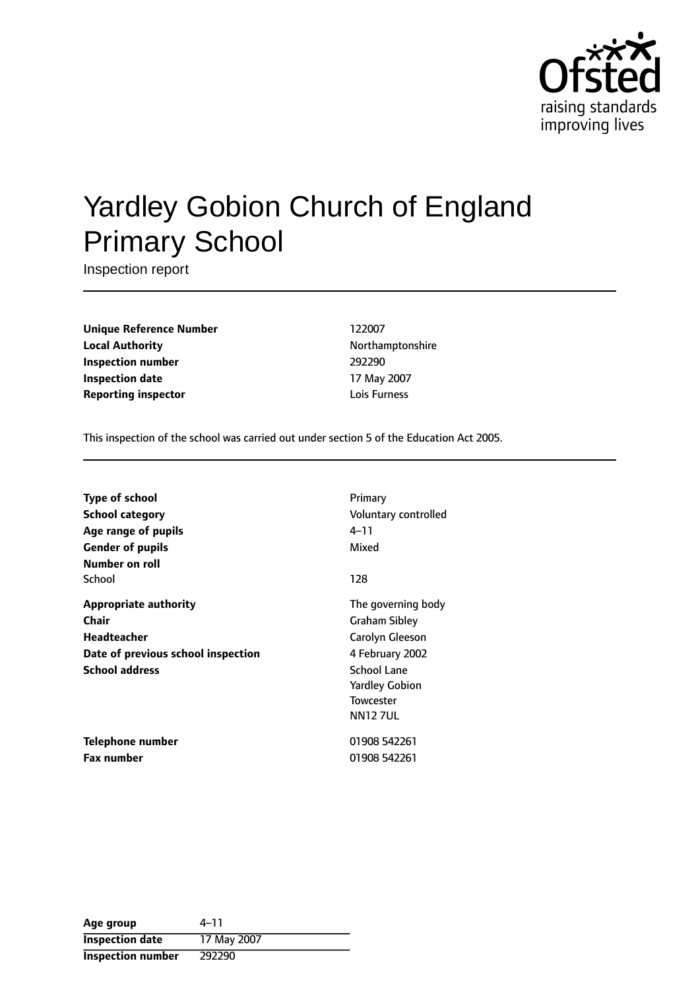

# Yardley Gobion Church of England Primary School

Inspection report

**Unique Reference Number** 122007 **Local Authority Northamptonshire Inspection number** 292290 **Inspection date** 17 May 2007 **Reporting inspector and a local contract to the United States Lois Furness** 

This inspection of the school was carried out under section 5 of the Education Act 2005.

| Type of school                     | Primary               |
|------------------------------------|-----------------------|
| <b>School category</b>             | Voluntary controlled  |
| Age range of pupils                | 4–11                  |
| <b>Gender of pupils</b>            | Mixed                 |
| Number on roll                     |                       |
| School                             | 128                   |
| <b>Appropriate authority</b>       | The governing body    |
| Chair                              | <b>Graham Sibley</b>  |
| Headteacher                        | Carolyn Gleeson       |
| Date of previous school inspection | 4 February 2002       |
| <b>School address</b>              | School Lane           |
|                                    | <b>Yardley Gobion</b> |
|                                    | <b>Towcester</b>      |
|                                    | <b>NN127UL</b>        |
| Telephone number                   | 01908 542261          |
| <b>Fax number</b>                  | 01908 542261          |

| Age group              | $4 - 11$    |
|------------------------|-------------|
| <b>Inspection date</b> | 17 May 2007 |
| Inspection number      | 292290      |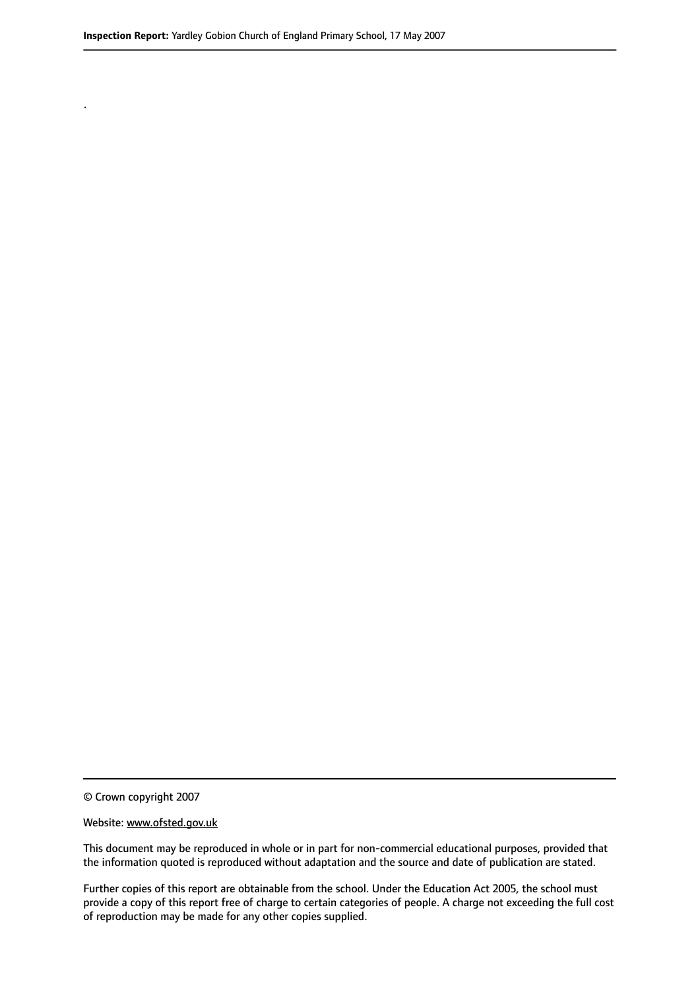.

© Crown copyright 2007

#### Website: www.ofsted.gov.uk

This document may be reproduced in whole or in part for non-commercial educational purposes, provided that the information quoted is reproduced without adaptation and the source and date of publication are stated.

Further copies of this report are obtainable from the school. Under the Education Act 2005, the school must provide a copy of this report free of charge to certain categories of people. A charge not exceeding the full cost of reproduction may be made for any other copies supplied.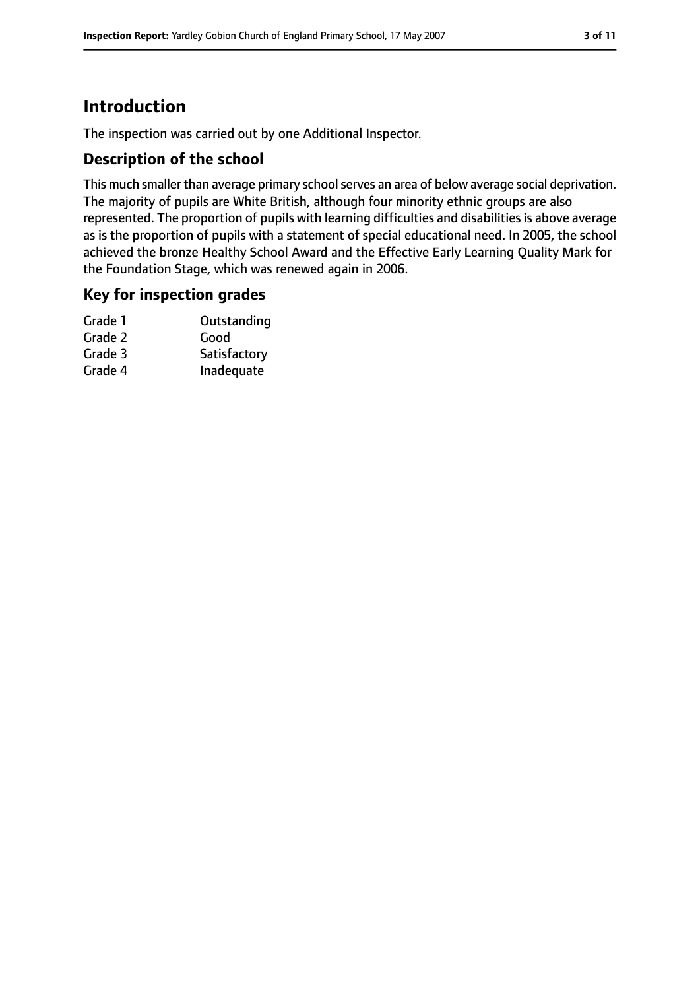# **Introduction**

The inspection was carried out by one Additional Inspector.

### **Description of the school**

This much smaller than average primary school serves an area of below average social deprivation. The majority of pupils are White British, although four minority ethnic groups are also represented. The proportion of pupils with learning difficulties and disabilities is above average as is the proportion of pupils with a statement of special educational need. In 2005, the school achieved the bronze Healthy School Award and the Effective Early Learning Quality Mark for the Foundation Stage, which was renewed again in 2006.

#### **Key for inspection grades**

| Grade 1 | Outstanding  |
|---------|--------------|
| Grade 2 | Good         |
| Grade 3 | Satisfactory |
| Grade 4 | Inadequate   |
|         |              |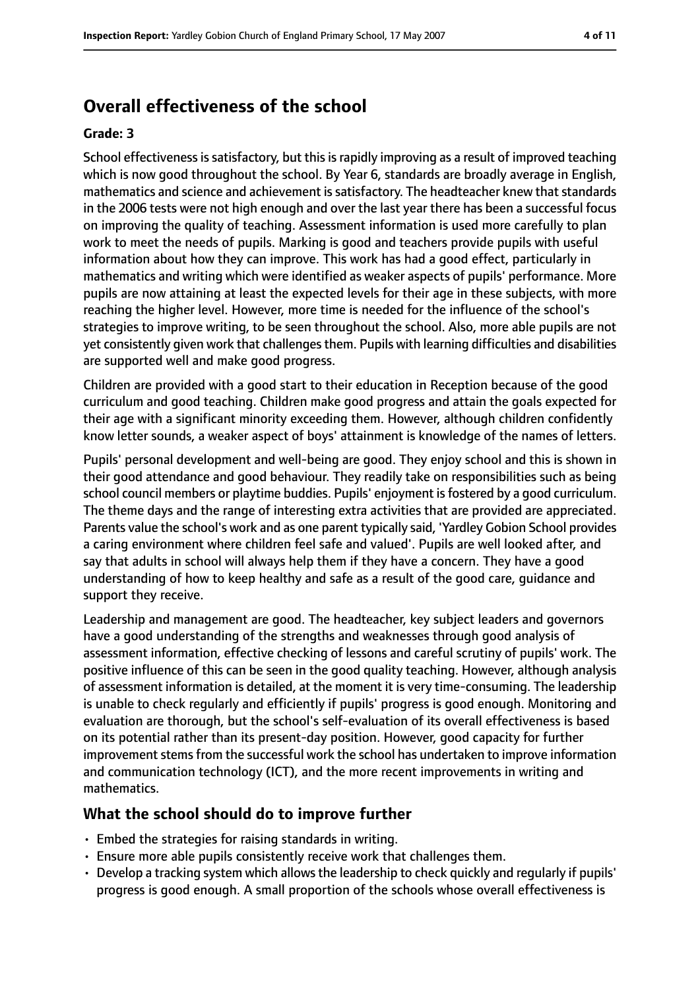# **Overall effectiveness of the school**

#### **Grade: 3**

School effectiveness is satisfactory, but this is rapidly improving as a result of improved teaching which is now good throughout the school. By Year 6, standards are broadly average in English, mathematics and science and achievement is satisfactory. The headteacher knew that standards in the 2006 tests were not high enough and over the last year there has been a successful focus on improving the quality of teaching. Assessment information is used more carefully to plan work to meet the needs of pupils. Marking is good and teachers provide pupils with useful information about how they can improve. This work has had a good effect, particularly in mathematics and writing which were identified as weaker aspects of pupils' performance. More pupils are now attaining at least the expected levels for their age in these subjects, with more reaching the higher level. However, more time is needed for the influence of the school's strategies to improve writing, to be seen throughout the school. Also, more able pupils are not yet consistently given work that challenges them. Pupils with learning difficulties and disabilities are supported well and make good progress.

Children are provided with a good start to their education in Reception because of the good curriculum and good teaching. Children make good progress and attain the goals expected for their age with a significant minority exceeding them. However, although children confidently know letter sounds, a weaker aspect of boys' attainment is knowledge of the names of letters.

Pupils' personal development and well-being are good. They enjoy school and this is shown in their good attendance and good behaviour. They readily take on responsibilities such as being school council members or playtime buddies. Pupils' enjoyment is fostered by a good curriculum. The theme days and the range of interesting extra activities that are provided are appreciated. Parents value the school's work and as one parent typically said, 'Yardley Gobion School provides a caring environment where children feel safe and valued'. Pupils are well looked after, and say that adults in school will always help them if they have a concern. They have a good understanding of how to keep healthy and safe as a result of the good care, guidance and support they receive.

Leadership and management are good. The headteacher, key subject leaders and governors have a good understanding of the strengths and weaknesses through good analysis of assessment information, effective checking of lessons and careful scrutiny of pupils' work. The positive influence of this can be seen in the good quality teaching. However, although analysis of assessment information is detailed, at the moment it is very time-consuming. The leadership is unable to check regularly and efficiently if pupils' progress is good enough. Monitoring and evaluation are thorough, but the school's self-evaluation of its overall effectiveness is based on its potential rather than its present-day position. However, good capacity for further improvement stems from the successful work the school has undertaken to improve information and communication technology (ICT), and the more recent improvements in writing and mathematics.

#### **What the school should do to improve further**

- Embed the strategies for raising standards in writing.
- Ensure more able pupils consistently receive work that challenges them.
- Develop a tracking system which allows the leadership to check quickly and reqularly if pupils' progress is good enough. A small proportion of the schools whose overall effectiveness is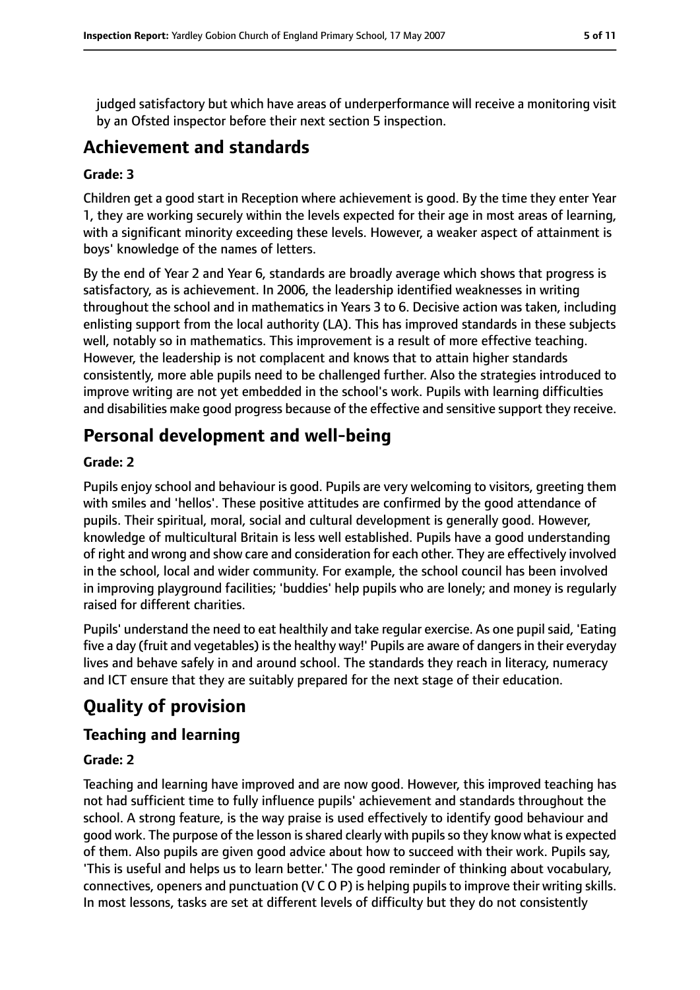judged satisfactory but which have areas of underperformance will receive a monitoring visit by an Ofsted inspector before their next section 5 inspection.

# **Achievement and standards**

#### **Grade: 3**

Children get a good start in Reception where achievement is good. By the time they enter Year 1, they are working securely within the levels expected for their age in most areas of learning, with a significant minority exceeding these levels. However, a weaker aspect of attainment is boys' knowledge of the names of letters.

By the end of Year 2 and Year 6, standards are broadly average which shows that progress is satisfactory, as is achievement. In 2006, the leadership identified weaknesses in writing throughout the school and in mathematics in Years 3 to 6. Decisive action was taken, including enlisting support from the local authority (LA). This has improved standards in these subjects well, notably so in mathematics. This improvement is a result of more effective teaching. However, the leadership is not complacent and knows that to attain higher standards consistently, more able pupils need to be challenged further. Also the strategies introduced to improve writing are not yet embedded in the school's work. Pupils with learning difficulties and disabilities make good progress because of the effective and sensitive support they receive.

# **Personal development and well-being**

### **Grade: 2**

Pupils enjoy school and behaviour is good. Pupils are very welcoming to visitors, greeting them with smiles and 'hellos'. These positive attitudes are confirmed by the good attendance of pupils. Their spiritual, moral, social and cultural development is generally good. However, knowledge of multicultural Britain is less well established. Pupils have a good understanding of right and wrong and show care and consideration for each other. They are effectively involved in the school, local and wider community. For example, the school council has been involved in improving playground facilities; 'buddies' help pupils who are lonely; and money is regularly raised for different charities.

Pupils' understand the need to eat healthily and take regular exercise. As one pupil said, 'Eating five a day (fruit and vegetables) is the healthy way!' Pupils are aware of dangers in their everyday lives and behave safely in and around school. The standards they reach in literacy, numeracy and ICT ensure that they are suitably prepared for the next stage of their education.

# **Quality of provision**

## **Teaching and learning**

#### **Grade: 2**

Teaching and learning have improved and are now good. However, this improved teaching has not had sufficient time to fully influence pupils' achievement and standards throughout the school. A strong feature, is the way praise is used effectively to identify good behaviour and good work. The purpose of the lesson is shared clearly with pupils so they know what is expected of them. Also pupils are given good advice about how to succeed with their work. Pupils say, 'This is useful and helps us to learn better.' The good reminder of thinking about vocabulary, connectives, openers and punctuation (V C O P) is helping pupils to improve their writing skills. In most lessons, tasks are set at different levels of difficulty but they do not consistently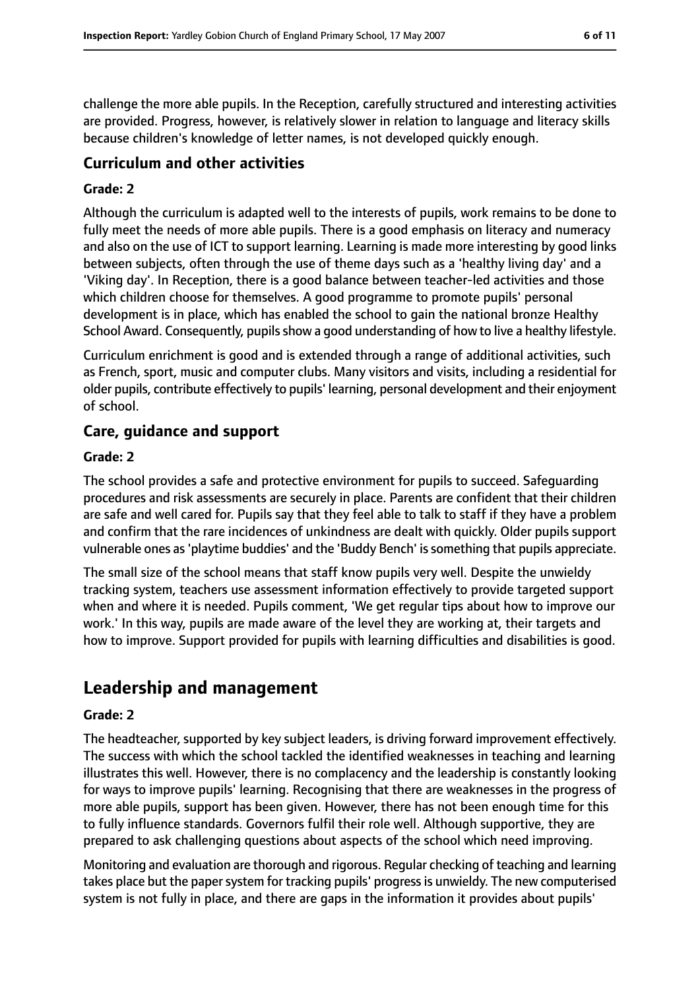challenge the more able pupils. In the Reception, carefully structured and interesting activities are provided. Progress, however, is relatively slower in relation to language and literacy skills because children's knowledge of letter names, is not developed quickly enough.

## **Curriculum and other activities**

#### **Grade: 2**

Although the curriculum is adapted well to the interests of pupils, work remains to be done to fully meet the needs of more able pupils. There is a good emphasis on literacy and numeracy and also on the use of ICT to support learning. Learning is made more interesting by good links between subjects, often through the use of theme days such as a 'healthy living day' and a 'Viking day'. In Reception, there is a good balance between teacher-led activities and those which children choose for themselves. A good programme to promote pupils' personal development is in place, which has enabled the school to gain the national bronze Healthy School Award. Consequently, pupils show a good understanding of how to live a healthy lifestyle.

Curriculum enrichment is good and is extended through a range of additional activities, such as French, sport, music and computer clubs. Many visitors and visits, including a residential for older pupils, contribute effectively to pupils' learning, personal development and their enjoyment of school.

## **Care, guidance and support**

#### **Grade: 2**

The school provides a safe and protective environment for pupils to succeed. Safeguarding procedures and risk assessments are securely in place. Parents are confident that their children are safe and well cared for. Pupils say that they feel able to talk to staff if they have a problem and confirm that the rare incidences of unkindness are dealt with quickly. Older pupils support vulnerable ones as'playtime buddies' and the 'Buddy Bench' issomething that pupils appreciate.

The small size of the school means that staff know pupils very well. Despite the unwieldy tracking system, teachers use assessment information effectively to provide targeted support when and where it is needed. Pupils comment, 'We get regular tips about how to improve our work.' In this way, pupils are made aware of the level they are working at, their targets and how to improve. Support provided for pupils with learning difficulties and disabilities is good.

## **Leadership and management**

#### **Grade: 2**

The headteacher, supported by key subject leaders, is driving forward improvement effectively. The success with which the school tackled the identified weaknesses in teaching and learning illustrates this well. However, there is no complacency and the leadership is constantly looking for ways to improve pupils' learning. Recognising that there are weaknesses in the progress of more able pupils, support has been given. However, there has not been enough time for this to fully influence standards. Governors fulfil their role well. Although supportive, they are prepared to ask challenging questions about aspects of the school which need improving.

Monitoring and evaluation are thorough and rigorous. Regular checking of teaching and learning takes place but the paper system for tracking pupils' progress is unwieldy. The new computerised system is not fully in place, and there are gaps in the information it provides about pupils'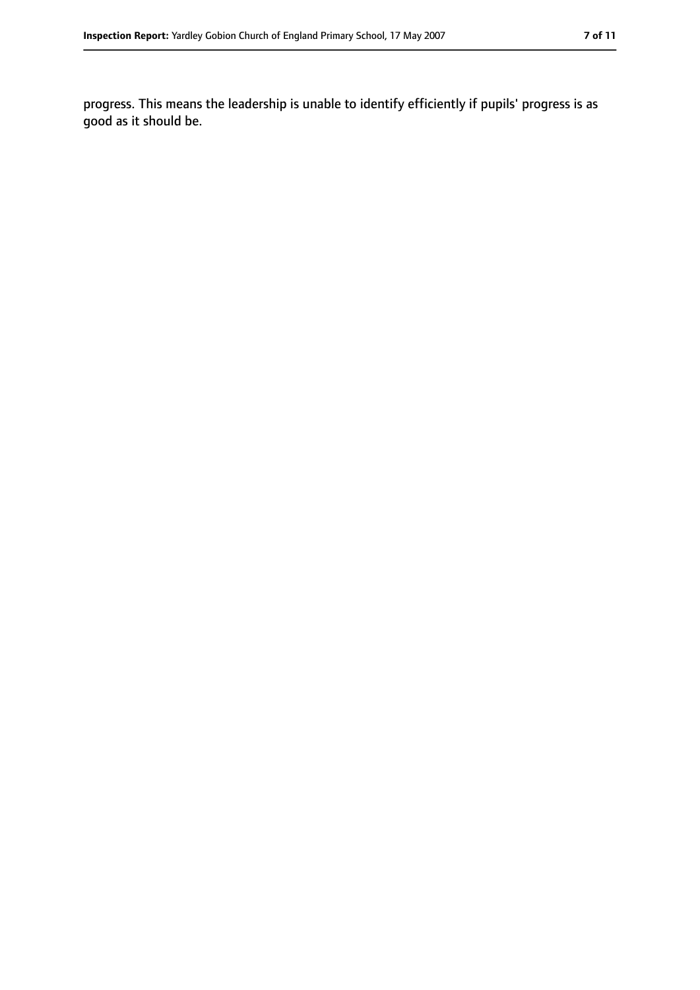progress. This means the leadership is unable to identify efficiently if pupils' progress is as good as it should be.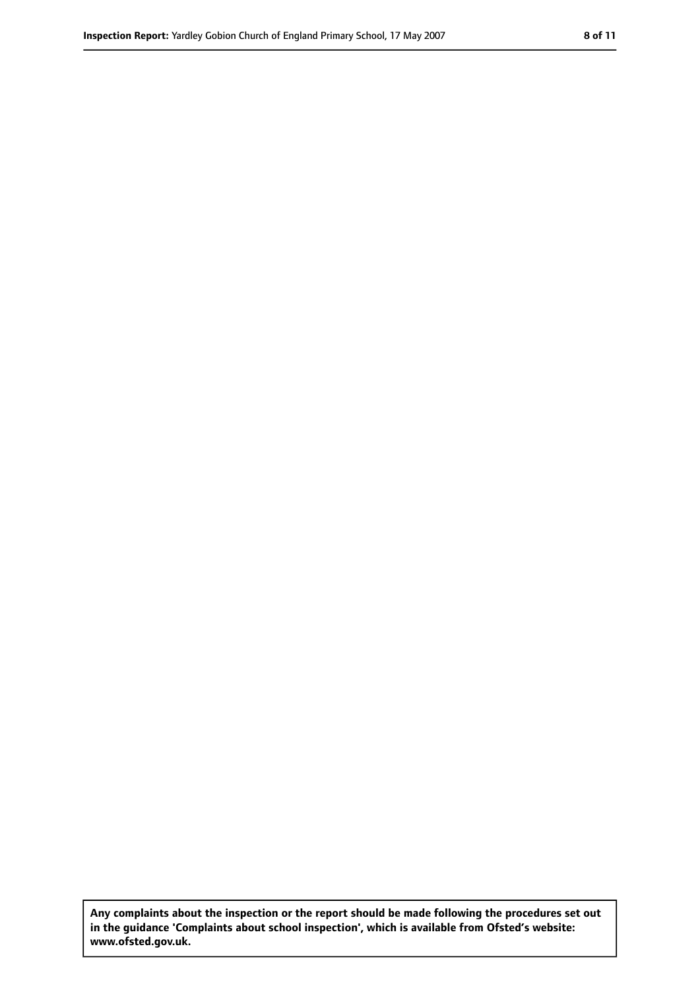**Any complaints about the inspection or the report should be made following the procedures set out in the guidance 'Complaints about school inspection', which is available from Ofsted's website: www.ofsted.gov.uk.**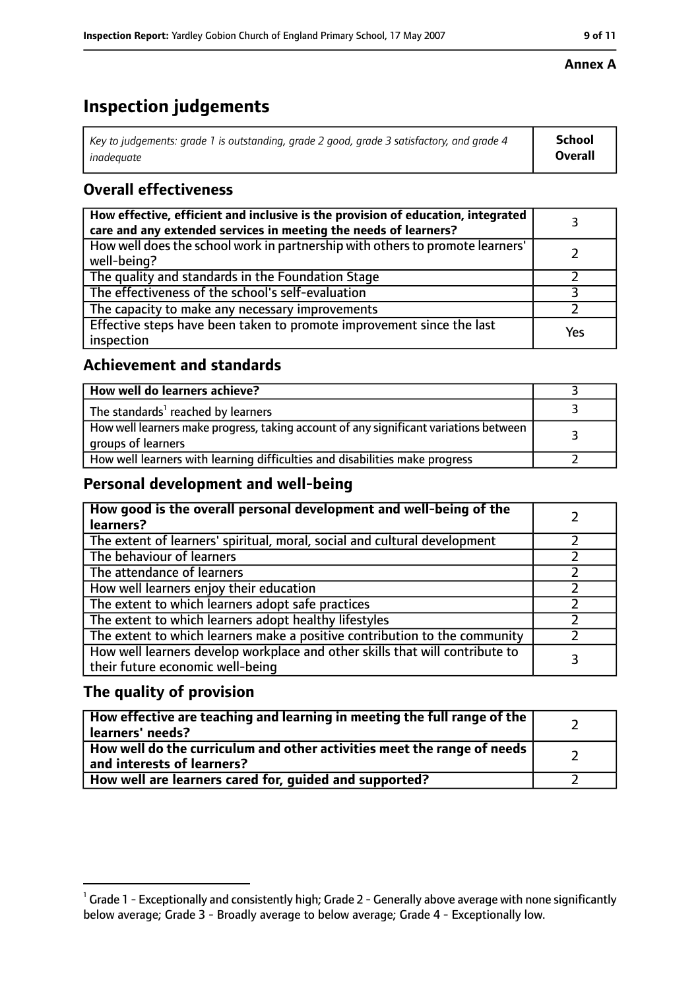# **Inspection judgements**

| Key to judgements: grade 1 is outstanding, grade 2 good, grade 3 satisfactory, and grade 4 | School         |
|--------------------------------------------------------------------------------------------|----------------|
| inadeauate                                                                                 | <b>Overall</b> |

## **Overall effectiveness**

| How effective, efficient and inclusive is the provision of education, integrated<br>care and any extended services in meeting the needs of learners? |     |
|------------------------------------------------------------------------------------------------------------------------------------------------------|-----|
| How well does the school work in partnership with others to promote learners'<br>well-being?                                                         |     |
| The quality and standards in the Foundation Stage                                                                                                    |     |
| The effectiveness of the school's self-evaluation                                                                                                    |     |
| The capacity to make any necessary improvements                                                                                                      |     |
| Effective steps have been taken to promote improvement since the last<br>inspection                                                                  | Yes |

## **Achievement and standards**

| How well do learners achieve?                                                                               |  |
|-------------------------------------------------------------------------------------------------------------|--|
| The standards <sup>1</sup> reached by learners                                                              |  |
| How well learners make progress, taking account of any significant variations between<br>groups of learners |  |
| How well learners with learning difficulties and disabilities make progress                                 |  |

### **Personal development and well-being**

| How good is the overall personal development and well-being of the<br>learners?                                  |  |
|------------------------------------------------------------------------------------------------------------------|--|
| The extent of learners' spiritual, moral, social and cultural development                                        |  |
| The behaviour of learners                                                                                        |  |
| The attendance of learners                                                                                       |  |
| How well learners enjoy their education                                                                          |  |
| The extent to which learners adopt safe practices                                                                |  |
| The extent to which learners adopt healthy lifestyles                                                            |  |
| The extent to which learners make a positive contribution to the community                                       |  |
| How well learners develop workplace and other skills that will contribute to<br>their future economic well-being |  |

## **The quality of provision**

| How effective are teaching and learning in meeting the full range of the<br>learners' needs?          |  |
|-------------------------------------------------------------------------------------------------------|--|
| How well do the curriculum and other activities meet the range of needs<br>and interests of learners? |  |
| How well are learners cared for, guided and supported?                                                |  |

#### **Annex A**

 $^1$  Grade 1 - Exceptionally and consistently high; Grade 2 - Generally above average with none significantly below average; Grade 3 - Broadly average to below average; Grade 4 - Exceptionally low.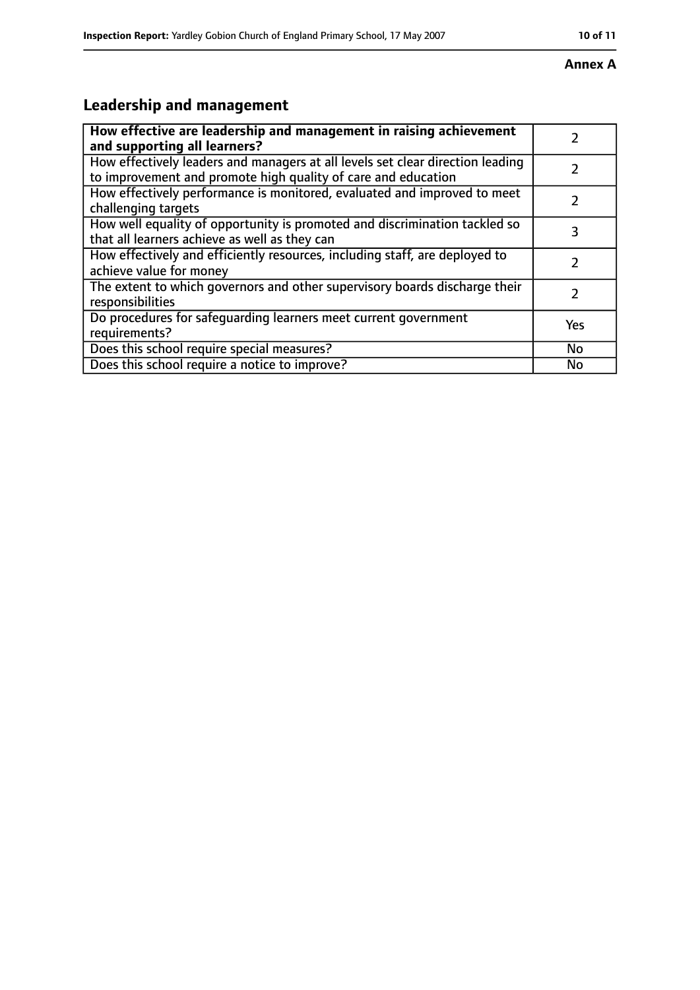#### **Annex A**

# **Leadership and management**

| How effective are leadership and management in raising achievement<br>and supporting all learners?                                              |               |
|-------------------------------------------------------------------------------------------------------------------------------------------------|---------------|
| How effectively leaders and managers at all levels set clear direction leading<br>to improvement and promote high quality of care and education |               |
| How effectively performance is monitored, evaluated and improved to meet<br>challenging targets                                                 |               |
| How well equality of opportunity is promoted and discrimination tackled so<br>that all learners achieve as well as they can                     | 3             |
| How effectively and efficiently resources, including staff, are deployed to<br>achieve value for money                                          | 7             |
| The extent to which governors and other supervisory boards discharge their<br>responsibilities                                                  | $\mathcal{L}$ |
| Do procedures for safequarding learners meet current government<br>requirements?                                                                | Yes           |
| Does this school require special measures?                                                                                                      | No            |
| Does this school require a notice to improve?                                                                                                   | No            |